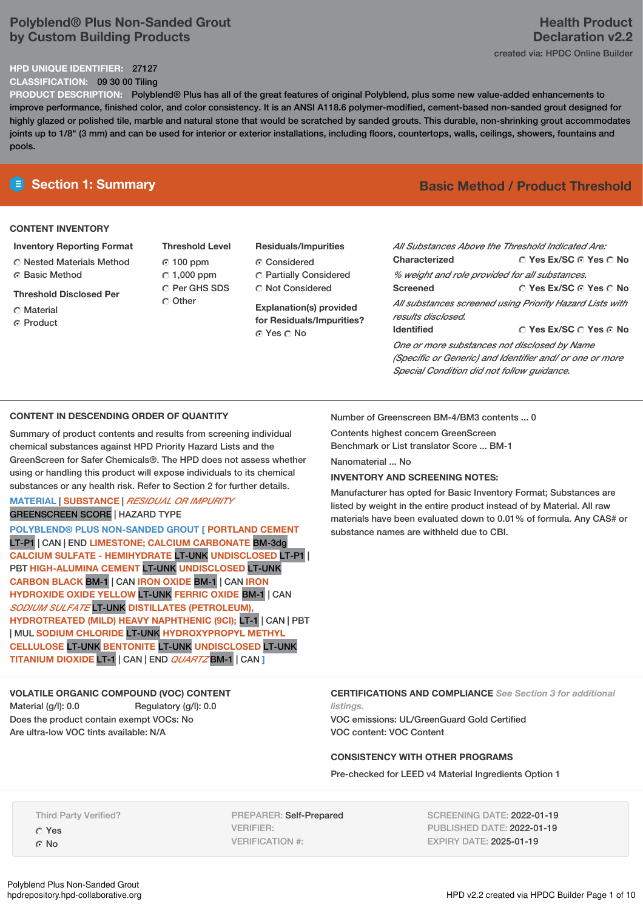### **Polyblend® Plus Non-Sanded Grout by Custom Building Products**

### **HPD UNIQUE IDENTIFIER:** 27127

**CLASSIFICATION:** 09 30 00 Tiling

**PRODUCT DESCRIPTION:** Polyblend® Plus has all of the great features of original Polyblend, plus some new value-added enhancements to improve performance, finished color, and color consistency. It is an ANSI A118.6 polymer-modified, cement-based non-sanded grout designed for highly glazed or polished tile, marble and natural stone that would be scratched by sanded grouts. This durable, non-shrinking grout accommodates joints up to 1/8" (3 mm) and can be used for interior or exterior installations, including floors, countertops, walls, ceilings, showers, fountains and pools.

### **CONTENT INVENTORY**

- **Inventory Reporting Format** Nested Materials Method **C** Basic Method
- **Threshold Disclosed Per**
- C Material ⊙ Product
- **Threshold Level** 100 ppm  $C$  1,000 ppm C Per GHS SDS C Other
- **Residuals/Impurities** G Considered Partially Considered

C Not Considered

**Explanation(s) provided for Residuals/Impurities?** ⊙ Yes O No

## **E** Section 1: Summary **Basic Basic** Method **/** Product Threshold

| All Substances Above the Threshold Indicated Are:        |                                                          |  |  |  |
|----------------------------------------------------------|----------------------------------------------------------|--|--|--|
| Characterized                                            | ○ Yes Ex/SC ⊙ Yes ○ No                                   |  |  |  |
| % weight and role provided for all substances.           |                                                          |  |  |  |
| <b>Screened</b>                                          | ∩ Yes Ex/SC ∩ Yes ∩ No                                   |  |  |  |
|                                                          | All substances screened using Priority Hazard Lists with |  |  |  |
| results disclosed.                                       |                                                          |  |  |  |
| <b>Identified</b>                                        | $\cap$ Yes Ex/SC $\cap$ Yes $\cap$ No                    |  |  |  |
| One or more substances not disclosed by Name             |                                                          |  |  |  |
| (Specific or Generic) and Identifier and/ or one or more |                                                          |  |  |  |

### **CONTENT IN DESCENDING ORDER OF QUANTITY**

Summary of product contents and results from screening individual chemical substances against HPD Priority Hazard Lists and the GreenScreen for Safer Chemicals®. The HPD does not assess whether using or handling this product will expose individuals to its chemical substances or any health risk. Refer to Section 2 for further details.

### **MATERIAL** | **SUBSTANCE** | *RESIDUAL OR IMPURITY* GREENSCREEN SCORE | HAZARD TYPE

**POLYBLEND® PLUS NON-SANDED GROUT [ PORTLAND CEMENT** LT-P1 | CAN | END **LIMESTONE; CALCIUM CARBONATE** BM-3dg **CALCIUM SULFATE - HEMIHYDRATE** LT-UNK **UNDISCLOSED** LT-P1 | PBT **HIGH-ALUMINA CEMENT** LT-UNK **UNDISCLOSED** LT-UNK **CARBON BLACK** BM-1 | CAN **IRON OXIDE** BM-1 | CAN **IRON HYDROXIDE OXIDE YELLOW** LT-UNK **FERRIC OXIDE** BM-1 | CAN *SODIUM SULFATE* LT-UNK **DISTILLATES (PETROLEUM), HYDROTREATED (MILD) HEAVY NAPHTHENIC (9CI);** LT-1 | CAN | PBT | MUL **SODIUM CHLORIDE** LT-UNK **HYDROXYPROPYL METHYL CELLULOSE** LT-UNK **BENTONITE** LT-UNK **UNDISCLOSED** LT-UNK **TITANIUM DIOXIDE** LT-1 | CAN | END *QUARTZ* BM-1 | CAN **]**

Number of Greenscreen BM-4/BM3 contents ... 0 Contents highest concern GreenScreen

Benchmark or List translator Score ... BM-1

Nanomaterial ... No

### **INVENTORY AND SCREENING NOTES:**

Manufacturer has opted for Basic Inventory Format; Substances are listed by weight in the entire product instead of by Material. All raw materials have been evaluated down to 0.01% of formula. Any CAS# or substance names are withheld due to CBI.

*Special Condition did not follow guidance.*

### **VOLATILE ORGANIC COMPOUND (VOC) CONTENT**

Material (g/l): 0.0 Regulatory (g/l): 0.0 Does the product contain exempt VOCs: No Are ultra-low VOC tints available: N/A

**CERTIFICATIONS AND COMPLIANCE** *See Section 3 for additional listings.*

VOC emissions: UL/GreenGuard Gold Certified VOC content: VOC Content

### **CONSISTENCY WITH OTHER PROGRAMS**

Pre-checked for LEED v4 Material Ingredients Option 1

PREPARER: Self-Prepared VERIFIER: VERIFICATION #:

SCREENING DATE: 2022-01-19 PUBLISHED DATE: 2022-01-19 EXPIRY DATE: 2025-01-19

## **Health Product Declaration v2.2**

created via: HPDC Online Builder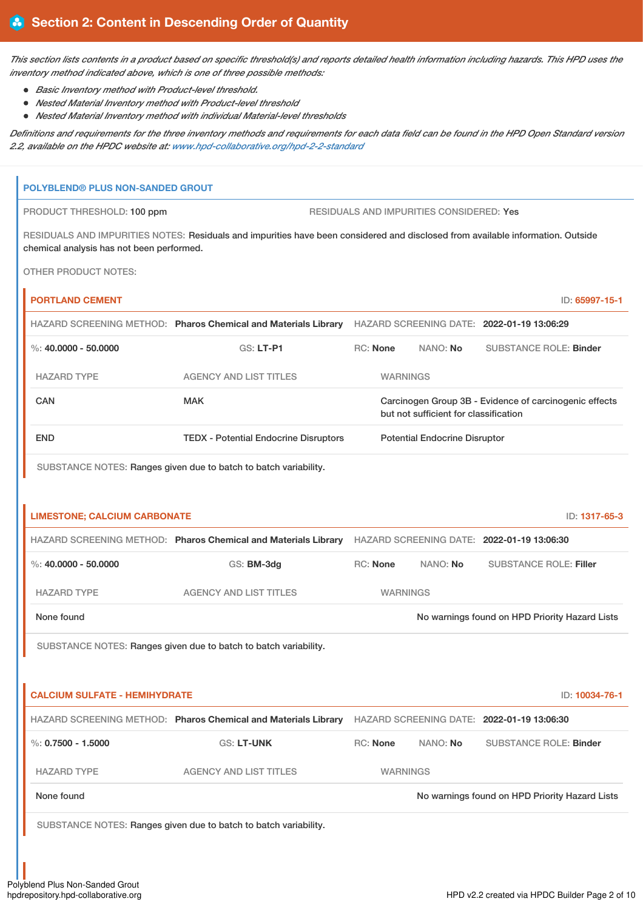This section lists contents in a product based on specific threshold(s) and reports detailed health information including hazards. This HPD uses the *inventory method indicated above, which is one of three possible methods:*

*Basic Inventory method with Product-level threshold.*

**POLYBLEND® PLUS NON-SANDED GROUT**

- *Nested Material Inventory method with Product-level threshold*
- *Nested Material Inventory method with individual Material-level thresholds*

Definitions and requirements for the three inventory methods and requirements for each data field can be found in the HPD Open Standard version *2.2, available on the HPDC website at: [www.hpd-collaborative.org/hpd-2-2-standard](https://www.hpd-collaborative.org/hpd-2-2-standard)*

# PRODUCT THRESHOLD: 100 ppm RESIDUALS AND IMPURITIES CONSIDERED: Yes RESIDUALS AND IMPURITIES NOTES: Residuals and impurities have been considered and disclosed from available information. Outside chemical analysis has not been performed. OTHER PRODUCT NOTES: **PORTLAND CEMENT** ID: **65997-15-1** HAZARD SCREENING METHOD: **Pharos Chemical and Materials Library** HAZARD SCREENING DATE: **2022-01-19 13:06:29** %: **40.0000 - 50.0000** GS: **LT-P1** RC: **None** NANO: **No** SUBSTANCE ROLE: **Binder** HAZARD TYPE AGENCY AND LIST TITLES WARNINGS CAN CAN MAK MAK Carcinogen Group 3B - Evidence of carcinogenic effects but not sufficient for classification END TEDX - Potential Endocrine Disruptors Potential Endocrine Disruptor SUBSTANCE NOTES: Ranges given due to batch to batch variability. **LIMESTONE; CALCIUM CARBONATE** ID: **1317-65-3** HAZARD SCREENING METHOD: **Pharos Chemical and Materials Library** HAZARD SCREENING DATE: **2022-01-19 13:06:30** %: **40.0000 - 50.0000** GS: **BM-3dg** RC: **None** NANO: **No** SUBSTANCE ROLE: **Filler** HAZARD TYPE AGENCY AND LIST TITLES WARNINGS None found Now arrings found on HPD Priority Hazard Lists **No warnings found on HPD Priority Hazard Lists** SUBSTANCE NOTES: Ranges given due to batch to batch variability. **CALCIUM SULFATE - HEMIHYDRATE** ID: **10034-76-1** HAZARD SCREENING METHOD: **Pharos Chemical and Materials Library** HAZARD SCREENING DATE: **2022-01-19 13:06:30** %: **0.7500 - 1.5000** GS: **LT-UNK** RC: **None** NANO: **No** SUBSTANCE ROLE: **Binder** HAZARD TYPE AGENCY AND LIST TITLES WARNINGS None found Now the Trustees of the November 2012 of No warnings found on HPD Priority Hazard Lists SUBSTANCE NOTES: Ranges given due to batch to batch variability.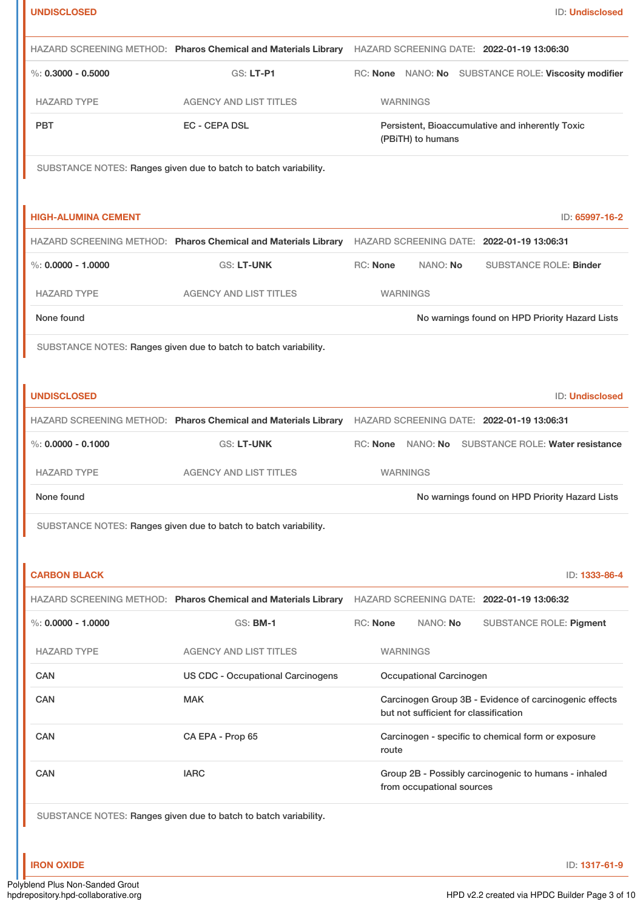| <b>UNDISCLOSED</b>         |                                                                  | ID: Undisclosed                                                                                           |
|----------------------------|------------------------------------------------------------------|-----------------------------------------------------------------------------------------------------------|
|                            |                                                                  | HAZARD SCREENING METHOD: Pharos Chemical and Materials Library HAZARD SCREENING DATE: 2022-01-19 13:06:30 |
| $\%$ : 0.3000 - 0.5000     | GS: LT-P1                                                        | RC: None NANO: No SUBSTANCE ROLE: Viscosity modifier                                                      |
| <b>HAZARD TYPE</b>         | <b>AGENCY AND LIST TITLES</b>                                    | <b>WARNINGS</b>                                                                                           |
| <b>PBT</b>                 | <b>EC - CEPA DSL</b>                                             | Persistent, Bioaccumulative and inherently Toxic<br>(PBiTH) to humans                                     |
|                            | SUBSTANCE NOTES: Ranges given due to batch to batch variability. |                                                                                                           |
| <b>HIGH-ALUMINA CEMENT</b> |                                                                  | ID: 65997-16-2                                                                                            |
|                            | HAZARD SCREENING METHOD: Pharos Chemical and Materials Library   | HAZARD SCREENING DATE: 2022-01-19 13:06:31                                                                |
| %: $0.0000 - 1.0000$       | <b>GS: LT-UNK</b>                                                | RC: None<br>NANO: No<br><b>SUBSTANCE ROLE: Binder</b>                                                     |
| <b>HAZARD TYPE</b>         | <b>AGENCY AND LIST TITLES</b>                                    | <b>WARNINGS</b>                                                                                           |
| None found                 |                                                                  | No warnings found on HPD Priority Hazard Lists                                                            |
|                            | SUBSTANCE NOTES: Ranges given due to batch to batch variability. |                                                                                                           |
|                            |                                                                  |                                                                                                           |
| <b>UNDISCLOSED</b>         |                                                                  | ID: Undisclosed                                                                                           |
|                            |                                                                  | HAZARD SCREENING METHOD: Pharos Chemical and Materials Library HAZARD SCREENING DATE: 2022-01-19 13:06:31 |
| %: $0.0000 - 0.1000$       | <b>GS: LT-UNK</b>                                                | RC: None<br>NANO: No<br>SUBSTANCE ROLE: Water resistance                                                  |
| <b>HAZARD TYPE</b>         | <b>AGENCY AND LIST TITLES</b>                                    | <b>WARNINGS</b>                                                                                           |
| None found                 |                                                                  | No warnings found on HPD Priority Hazard Lists                                                            |
|                            | SUBSTANCE NOTES: Ranges given due to batch to batch variability. |                                                                                                           |
|                            |                                                                  |                                                                                                           |
| <b>CARBON BLACK</b>        |                                                                  | ID: 1333-86-4                                                                                             |
|                            | HAZARD SCREENING METHOD: Pharos Chemical and Materials Library   | HAZARD SCREENING DATE: 2022-01-19 13:06:32                                                                |
| $\%$ : 0.0000 - 1.0000     | <b>GS: BM-1</b>                                                  | RC: None<br>NANO: No<br><b>SUBSTANCE ROLE: Pigment</b>                                                    |
| <b>HAZARD TYPE</b>         | <b>AGENCY AND LIST TITLES</b>                                    | <b>WARNINGS</b>                                                                                           |
| <b>CAN</b>                 | <b>US CDC - Occupational Carcinogens</b>                         | Occupational Carcinogen                                                                                   |
| <b>CAN</b>                 | <b>MAK</b>                                                       | Carcinogen Group 3B - Evidence of carcinogenic effects<br>but not sufficient for classification           |
| <b>CAN</b>                 | CA EPA - Prop 65                                                 | Carcinogen - specific to chemical form or exposure<br>route                                               |
| <b>CAN</b>                 | <b>IARC</b>                                                      | Group 2B - Possibly carcinogenic to humans - inhaled<br>from occupational sources                         |
|                            | SUBSTANCE NOTES: Ranges given due to batch to batch variability. |                                                                                                           |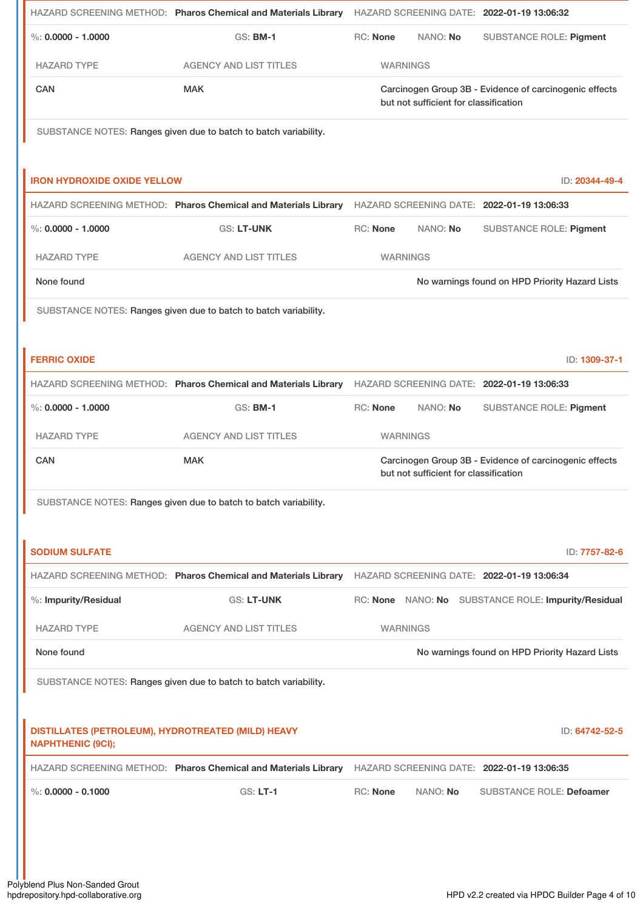|                                                                                | HAZARD SCREENING METHOD: Pharos Chemical and Materials Library HAZARD SCREENING DATE: 2022-01-19 13:06:32 |                 |                                       |                                                        |
|--------------------------------------------------------------------------------|-----------------------------------------------------------------------------------------------------------|-----------------|---------------------------------------|--------------------------------------------------------|
| $\%$ : 0.0000 - 1.0000                                                         | <b>GS: BM-1</b>                                                                                           | RC: None        | NANO: No                              | SUBSTANCE ROLE: Pigment                                |
| <b>HAZARD TYPE</b>                                                             | <b>AGENCY AND LIST TITLES</b>                                                                             | <b>WARNINGS</b> |                                       |                                                        |
| CAN                                                                            | <b>MAK</b>                                                                                                |                 | but not sufficient for classification | Carcinogen Group 3B - Evidence of carcinogenic effects |
|                                                                                | SUBSTANCE NOTES: Ranges given due to batch to batch variability.                                          |                 |                                       |                                                        |
| <b>IRON HYDROXIDE OXIDE YELLOW</b>                                             |                                                                                                           |                 |                                       | ID: 20344-49-4                                         |
|                                                                                | HAZARD SCREENING METHOD: Pharos Chemical and Materials Library HAZARD SCREENING DATE: 2022-01-19 13:06:33 |                 |                                       |                                                        |
| %: $0.0000 - 1.0000$                                                           | <b>GS: LT-UNK</b>                                                                                         | <b>RC: None</b> | NANO: No                              | <b>SUBSTANCE ROLE: Pigment</b>                         |
| <b>HAZARD TYPE</b>                                                             | <b>AGENCY AND LIST TITLES</b>                                                                             | <b>WARNINGS</b> |                                       |                                                        |
| None found                                                                     |                                                                                                           |                 |                                       | No warnings found on HPD Priority Hazard Lists         |
|                                                                                | SUBSTANCE NOTES: Ranges given due to batch to batch variability.                                          |                 |                                       |                                                        |
| <b>FERRIC OXIDE</b>                                                            |                                                                                                           |                 |                                       | ID: 1309-37-1                                          |
|                                                                                | HAZARD SCREENING METHOD: Pharos Chemical and Materials Library                                            |                 |                                       | HAZARD SCREENING DATE: 2022-01-19 13:06:33             |
| $\%$ : 0.0000 - 1.0000                                                         | <b>GS: BM-1</b>                                                                                           | <b>RC: None</b> | NANO: No                              | SUBSTANCE ROLE: Pigment                                |
| <b>HAZARD TYPE</b>                                                             | <b>AGENCY AND LIST TITLES</b>                                                                             | <b>WARNINGS</b> |                                       |                                                        |
| <b>CAN</b>                                                                     | <b>MAK</b>                                                                                                |                 | but not sufficient for classification | Carcinogen Group 3B - Evidence of carcinogenic effects |
|                                                                                | SUBSTANCE NOTES: Ranges given due to batch to batch variability.                                          |                 |                                       |                                                        |
|                                                                                |                                                                                                           |                 |                                       |                                                        |
| <b>SODIUM SULFATE</b>                                                          |                                                                                                           |                 |                                       | ID: 7757-82-6                                          |
|                                                                                | HAZARD SCREENING METHOD: Pharos Chemical and Materials Library HAZARD SCREENING DATE: 2022-01-19 13:06:34 |                 |                                       |                                                        |
| %: Impurity/Residual                                                           | GS: LT-UNK                                                                                                |                 |                                       | RC: None NANO: No SUBSTANCE ROLE: Impurity/Residual    |
| <b>HAZARD TYPE</b>                                                             | <b>AGENCY AND LIST TITLES</b>                                                                             | <b>WARNINGS</b> |                                       |                                                        |
| None found                                                                     |                                                                                                           |                 |                                       | No warnings found on HPD Priority Hazard Lists         |
|                                                                                | SUBSTANCE NOTES: Ranges given due to batch to batch variability.                                          |                 |                                       |                                                        |
|                                                                                |                                                                                                           |                 |                                       |                                                        |
| DISTILLATES (PETROLEUM), HYDROTREATED (MILD) HEAVY<br><b>NAPHTHENIC (9CI);</b> |                                                                                                           |                 |                                       | ID: 64742-52-5                                         |
|                                                                                | HAZARD SCREENING METHOD: Pharos Chemical and Materials Library                                            |                 |                                       | HAZARD SCREENING DATE: 2022-01-19 13:06:35             |
| %: $0.0000 - 0.1000$                                                           | <b>GS: LT-1</b>                                                                                           | <b>RC: None</b> | NANO: No                              | <b>SUBSTANCE ROLE: Defoamer</b>                        |
|                                                                                |                                                                                                           |                 |                                       |                                                        |
|                                                                                |                                                                                                           |                 |                                       |                                                        |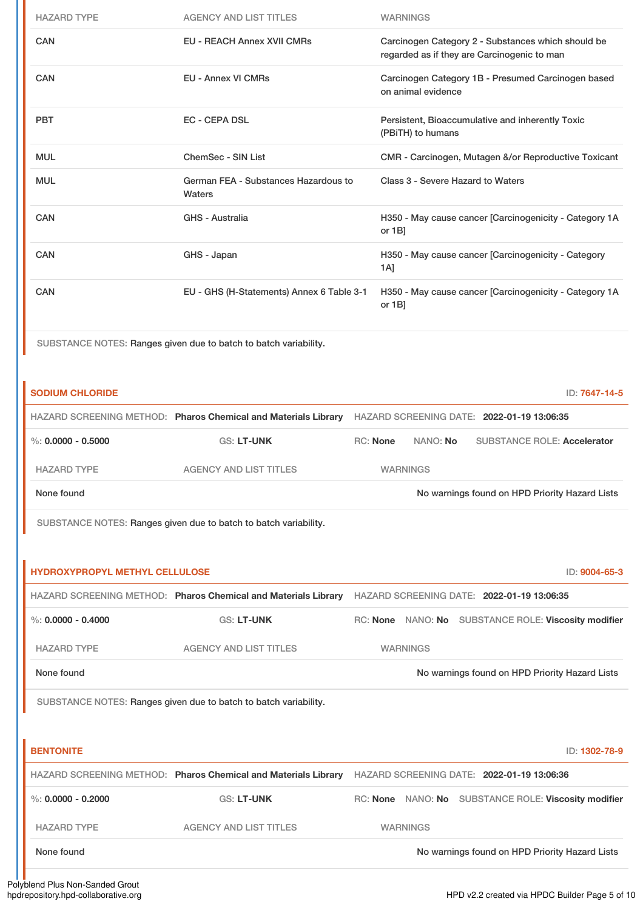| <b>HAZARD TYPE</b>                    | <b>AGENCY AND LIST TITLES</b>                                                                             |                 | <b>WARNINGS</b>    |          |                                                                                                   |                                                        |
|---------------------------------------|-----------------------------------------------------------------------------------------------------------|-----------------|--------------------|----------|---------------------------------------------------------------------------------------------------|--------------------------------------------------------|
| <b>CAN</b>                            | <b>EU - REACH Annex XVII CMRs</b>                                                                         |                 |                    |          | Carcinogen Category 2 - Substances which should be<br>regarded as if they are Carcinogenic to man |                                                        |
| <b>CAN</b>                            | <b>EU - Annex VI CMRs</b>                                                                                 |                 | on animal evidence |          | Carcinogen Category 1B - Presumed Carcinogen based                                                |                                                        |
| <b>PBT</b>                            | <b>EC - CEPA DSL</b>                                                                                      |                 | (PBiTH) to humans  |          | Persistent, Bioaccumulative and inherently Toxic                                                  |                                                        |
| <b>MUL</b>                            | <b>ChemSec - SIN List</b>                                                                                 |                 |                    |          |                                                                                                   | CMR - Carcinogen, Mutagen &/or Reproductive Toxicant   |
| <b>MUL</b>                            | German FEA - Substances Hazardous to<br><b>Waters</b>                                                     |                 |                    |          | Class 3 - Severe Hazard to Waters                                                                 |                                                        |
| <b>CAN</b>                            | <b>GHS - Australia</b>                                                                                    |                 | or $1B$ ]          |          |                                                                                                   | H350 - May cause cancer [Carcinogenicity - Category 1A |
| <b>CAN</b>                            | GHS - Japan                                                                                               | $1A$ ]          |                    |          | H350 - May cause cancer [Carcinogenicity - Category                                               |                                                        |
| CAN                                   | EU - GHS (H-Statements) Annex 6 Table 3-1                                                                 |                 | or $1B$ ]          |          |                                                                                                   | H350 - May cause cancer [Carcinogenicity - Category 1A |
|                                       | SUBSTANCE NOTES: Ranges given due to batch to batch variability.                                          |                 |                    |          |                                                                                                   |                                                        |
| <b>SODIUM CHLORIDE</b>                |                                                                                                           |                 |                    |          |                                                                                                   | ID: 7647-14-5                                          |
|                                       | HAZARD SCREENING METHOD: Pharos Chemical and Materials Library HAZARD SCREENING DATE: 2022-01-19 13:06:35 |                 |                    |          |                                                                                                   |                                                        |
| %: $0.0000 - 0.5000$                  | GS: LT-UNK                                                                                                | <b>RC: None</b> |                    | NANO: No |                                                                                                   | <b>SUBSTANCE ROLE: Accelerator</b>                     |
|                                       |                                                                                                           |                 |                    |          |                                                                                                   |                                                        |
| <b>HAZARD TYPE</b>                    | <b>AGENCY AND LIST TITLES</b>                                                                             |                 | <b>WARNINGS</b>    |          |                                                                                                   |                                                        |
| None found                            |                                                                                                           |                 |                    |          |                                                                                                   | No warnings found on HPD Priority Hazard Lists         |
|                                       | SUBSTANCE NOTES: Ranges given due to batch to batch variability.                                          |                 |                    |          |                                                                                                   |                                                        |
|                                       |                                                                                                           |                 |                    |          |                                                                                                   |                                                        |
| <b>HYDROXYPROPYL METHYL CELLULOSE</b> |                                                                                                           |                 |                    |          |                                                                                                   | ID: 9004-65-3                                          |
|                                       | HAZARD SCREENING METHOD: Pharos Chemical and Materials Library HAZARD SCREENING DATE: 2022-01-19 13:06:35 |                 |                    |          |                                                                                                   |                                                        |
| %: $0.0000 - 0.4000$                  | GS: LT-UNK                                                                                                |                 |                    |          |                                                                                                   | RC: None NANO: No SUBSTANCE ROLE: Viscosity modifier   |
| <b>HAZARD TYPE</b>                    | <b>AGENCY AND LIST TITLES</b>                                                                             |                 | <b>WARNINGS</b>    |          |                                                                                                   |                                                        |
| None found                            |                                                                                                           |                 |                    |          |                                                                                                   | No warnings found on HPD Priority Hazard Lists         |
|                                       | SUBSTANCE NOTES: Ranges given due to batch to batch variability.                                          |                 |                    |          |                                                                                                   |                                                        |
|                                       |                                                                                                           |                 |                    |          |                                                                                                   |                                                        |
| <b>BENTONITE</b>                      |                                                                                                           |                 |                    |          |                                                                                                   | ID: 1302-78-9                                          |
|                                       | HAZARD SCREENING METHOD: Pharos Chemical and Materials Library HAZARD SCREENING DATE: 2022-01-19 13:06:36 |                 |                    |          |                                                                                                   |                                                        |
| %: $0.0000 - 0.2000$                  | <b>GS: LT-UNK</b>                                                                                         |                 |                    |          |                                                                                                   | RC: None NANO: No SUBSTANCE ROLE: Viscosity modifier   |
| <b>HAZARD TYPE</b>                    | <b>AGENCY AND LIST TITLES</b>                                                                             |                 | <b>WARNINGS</b>    |          |                                                                                                   |                                                        |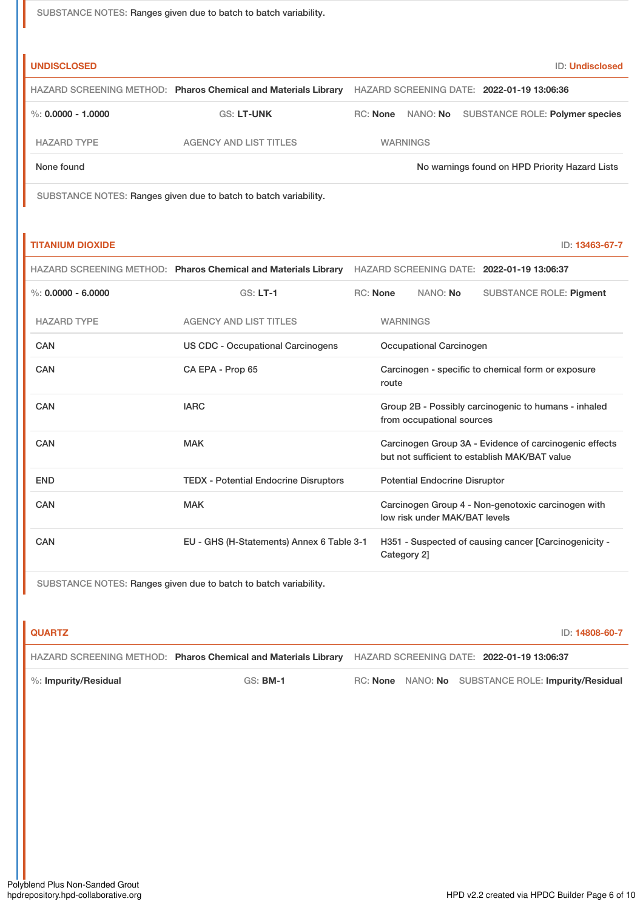SUBSTANCE NOTES: Ranges given due to batch to batch variability.

| <b>UNDISCLOSED</b>     |                                                                |          |                 | ID: Undisclosed                                |
|------------------------|----------------------------------------------------------------|----------|-----------------|------------------------------------------------|
|                        | HAZARD SCREENING METHOD: Pharos Chemical and Materials Library |          |                 | HAZARD SCREENING DATE: 2022-01-19 13:06:36     |
| $\%$ : 0.0000 - 1.0000 | <b>GS: LT-UNK</b>                                              | RC: None | NANO: No        | SUBSTANCE ROLE: Polymer species                |
| <b>HAZARD TYPE</b>     | <b>AGENCY AND LIST TITLES</b>                                  |          | <b>WARNINGS</b> |                                                |
| None found             |                                                                |          |                 | No warnings found on HPD Priority Hazard Lists |

SUBSTANCE NOTES: Ranges given due to batch to batch variability.

| <b>TITANIUM DIOXIDE</b> | $\times$ 13463-67-7<br>ID: |
|-------------------------|----------------------------|
|-------------------------|----------------------------|

|                      | HAZARD SCREENING METHOD: Pharos Chemical and Materials Library | HAZARD SCREENING DATE: 2022-01-19 13:06:37                                        |                 |                                      |                                                                                                         |
|----------------------|----------------------------------------------------------------|-----------------------------------------------------------------------------------|-----------------|--------------------------------------|---------------------------------------------------------------------------------------------------------|
| %: $0.0000 - 6.0000$ | $GS: LT-1$                                                     |                                                                                   | <b>RC:</b> None | NANO: No                             | <b>SUBSTANCE ROLE: Pigment</b>                                                                          |
| <b>HAZARD TYPE</b>   | <b>AGENCY AND LIST TITLES</b>                                  |                                                                                   | <b>WARNINGS</b> |                                      |                                                                                                         |
| CAN                  | <b>US CDC - Occupational Carcinogens</b>                       | Occupational Carcinogen                                                           |                 |                                      |                                                                                                         |
| CAN                  | CA EPA - Prop 65                                               | Carcinogen - specific to chemical form or exposure<br>route                       |                 |                                      |                                                                                                         |
| CAN                  | <b>IARC</b>                                                    | Group 2B - Possibly carcinogenic to humans - inhaled<br>from occupational sources |                 |                                      |                                                                                                         |
| CAN                  | <b>MAK</b>                                                     |                                                                                   |                 |                                      | Carcinogen Group 3A - Evidence of carcinogenic effects<br>but not sufficient to establish MAK/BAT value |
| <b>END</b>           | <b>TEDX</b> - Potential Endocrine Disruptors                   |                                                                                   |                 | <b>Potential Endocrine Disruptor</b> |                                                                                                         |
| CAN                  | <b>MAK</b>                                                     |                                                                                   |                 | low risk under MAK/BAT levels        | Carcinogen Group 4 - Non-genotoxic carcinogen with                                                      |
| CAN                  | EU - GHS (H-Statements) Annex 6 Table 3-1                      |                                                                                   | Category 2]     |                                      | H351 - Suspected of causing cancer [Carcinogenicity -                                                   |

SUBSTANCE NOTES: Ranges given due to batch to batch variability.

| <b>QUARTZ</b>        |                                                                |  | ID: 14808-60-7                                      |  |
|----------------------|----------------------------------------------------------------|--|-----------------------------------------------------|--|
|                      | HAZARD SCREENING METHOD: Pharos Chemical and Materials Library |  | HAZARD SCREENING DATE: 2022-01-19 13:06:37          |  |
| %: Impurity/Residual | $GS:$ BM-1                                                     |  | RC: None NANO: No SUBSTANCE ROLE: Impurity/Residual |  |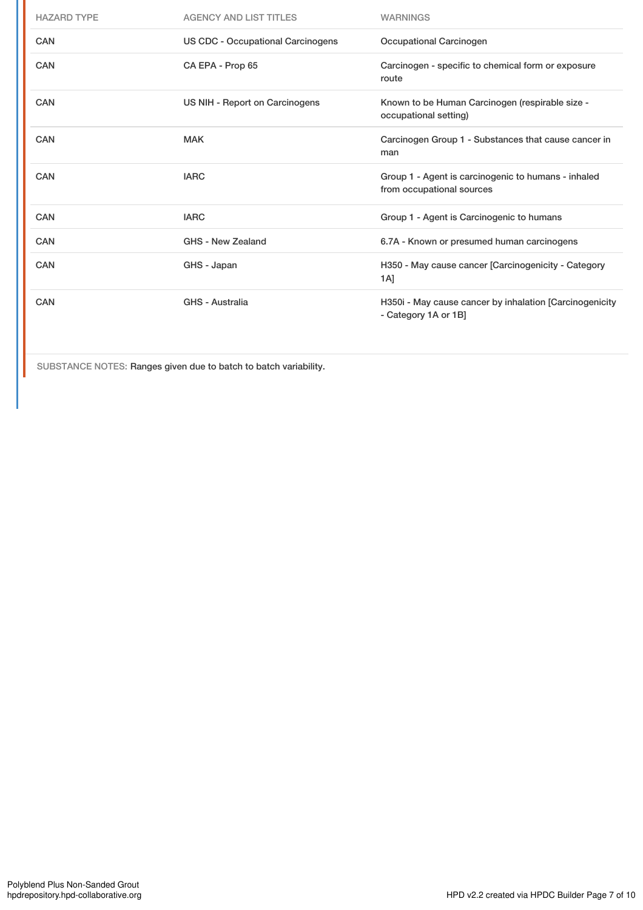| <b>HAZARD TYPE</b> | <b>AGENCY AND LIST TITLES</b>            | <b>WARNINGS</b>                                                                  |
|--------------------|------------------------------------------|----------------------------------------------------------------------------------|
| <b>CAN</b>         | <b>US CDC - Occupational Carcinogens</b> | Occupational Carcinogen                                                          |
| <b>CAN</b>         | CA EPA - Prop 65                         | Carcinogen - specific to chemical form or exposure<br>route                      |
| <b>CAN</b>         | US NIH - Report on Carcinogens           | Known to be Human Carcinogen (respirable size -<br>occupational setting)         |
| CAN                | <b>MAK</b>                               | Carcinogen Group 1 - Substances that cause cancer in<br>man                      |
| CAN                | <b>IARC</b>                              | Group 1 - Agent is carcinogenic to humans - inhaled<br>from occupational sources |
| <b>CAN</b>         | <b>IARC</b>                              | Group 1 - Agent is Carcinogenic to humans                                        |
| <b>CAN</b>         | GHS - New Zealand                        | 6.7A - Known or presumed human carcinogens                                       |
| CAN                | GHS - Japan                              | H350 - May cause cancer [Carcinogenicity - Category<br>1A]                       |
| <b>CAN</b>         | GHS - Australia                          | H350i - May cause cancer by inhalation [Carcinogenicity<br>- Category 1A or 1B]  |

SUBSTANCE NOTES: Ranges given due to batch to batch variability.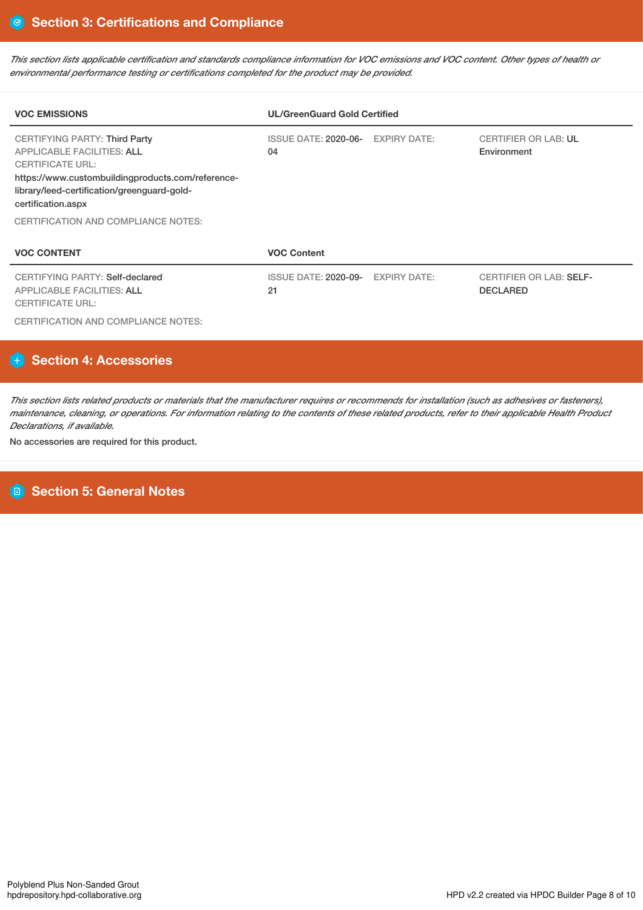This section lists applicable certification and standards compliance information for VOC emissions and VOC content. Other types of health or *environmental performance testing or certifications completed for the product may be provided.*

| <b>VOC EMISSIONS</b>                                                                                                                                                                                                           | <b>UL/GreenGuard Gold Certified</b> |                     |                                                   |  |  |  |
|--------------------------------------------------------------------------------------------------------------------------------------------------------------------------------------------------------------------------------|-------------------------------------|---------------------|---------------------------------------------------|--|--|--|
| <b>CERTIFYING PARTY: Third Party</b><br><b>APPLICABLE FACILITIES: ALL</b><br><b>CERTIFICATE URL:</b><br>https://www.custombuildingproducts.com/reference-<br>library/leed-certification/greenguard-gold-<br>certification.aspx | ISSUE DATE: 2020-06-<br>04          | <b>EXPIRY DATE:</b> | <b>CERTIFIER OR LAB: UL</b><br>Environment        |  |  |  |
| CERTIFICATION AND COMPLIANCE NOTES:                                                                                                                                                                                            |                                     |                     |                                                   |  |  |  |
| <b>VOC CONTENT</b>                                                                                                                                                                                                             | <b>VOC Content</b>                  |                     |                                                   |  |  |  |
| <b>CERTIFYING PARTY: Self-declared</b><br><b>APPLICABLE FACILITIES: ALL</b><br><b>CERTIFICATE URL:</b>                                                                                                                         | ISSUE DATE: 2020-09-<br>21          | <b>EXPIRY DATE:</b> | <b>CERTIFIER OR LAB: SELF-</b><br><b>DECLARED</b> |  |  |  |

CERTIFICATION AND COMPLIANCE NOTES:

### **Section 4: Accessories**

This section lists related products or materials that the manufacturer requires or recommends for installation (such as adhesives or fasteners), maintenance, cleaning, or operations. For information relating to the contents of these related products, refer to their applicable Health Product *Declarations, if available.*

No accessories are required for this product.

## **Section 5: General Notes**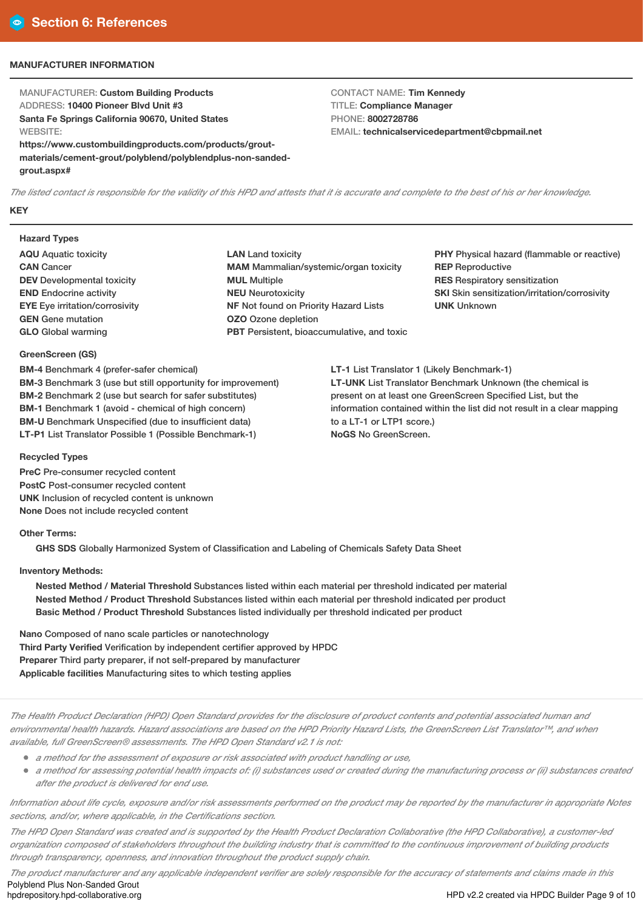### **MANUFACTURER INFORMATION**

MANUFACTURER: **Custom Building Products** ADDRESS: **10400 Pioneer Blvd Unit #3 Santa Fe Springs California 90670, United States WEBSITE: https://www.custombuildingproducts.com/products/grout-**

**materials/cement-grout/polyblend/polyblendplus-non-sandedgrout.aspx#**

CONTACT NAME: **Tim Kennedy** TITLE: **Compliance Manager** PHONE: **8002728786** EMAIL: **technicalservicedepartment@cbpmail.net**

The listed contact is responsible for the validity of this HPD and attests that it is accurate and complete to the best of his or her knowledge. **KEY**

#### **Hazard Types**

- **AQU** Aquatic toxicity **CAN** Cancer **DEV** Developmental toxicity **END** Endocrine activity **EYE** Eye irritation/corrosivity **GEN** Gene mutation **GLO** Global warming
- **LAN** Land toxicity **MAM** Mammalian/systemic/organ toxicity **MUL** Multiple **NEU** Neurotoxicity **NF** Not found on Priority Hazard Lists **OZO** Ozone depletion **PBT** Persistent, bioaccumulative, and toxic

**PHY** Physical hazard (flammable or reactive) **REP** Reproductive **RES** Respiratory sensitization **SKI** Skin sensitization/irritation/corrosivity **UNK** Unknown

**LT-1** List Translator 1 (Likely Benchmark-1) **LT-UNK** List Translator Benchmark Unknown (the chemical is present on at least one GreenScreen Specified List, but the information contained within the list did not result in a clear mapping to a LT-1 or LTP1 score.) **NoGS** No GreenScreen.

### **GreenScreen (GS) BM-4** Benchmark 4 (prefer-safer chemical)

**BM-3** Benchmark 3 (use but still opportunity for improvement) **BM-2** Benchmark 2 (use but search for safer substitutes) **BM-1** Benchmark 1 (avoid - chemical of high concern) **BM-U** Benchmark Unspecified (due to insufficient data) **LT-P1** List Translator Possible 1 (Possible Benchmark-1)

### **Recycled Types**

**PreC** Pre-consumer recycled content **PostC** Post-consumer recycled content **UNK** Inclusion of recycled content is unknown **None** Does not include recycled content

#### **Other Terms:**

**GHS SDS** Globally Harmonized System of Classification and Labeling of Chemicals Safety Data Sheet

### **Inventory Methods:**

**Nested Method / Material Threshold** Substances listed within each material per threshold indicated per material **Nested Method / Product Threshold** Substances listed within each material per threshold indicated per product **Basic Method / Product Threshold** Substances listed individually per threshold indicated per product

**Nano** Composed of nano scale particles or nanotechnology **Third Party Verified** Verification by independent certifier approved by HPDC **Preparer** Third party preparer, if not self-prepared by manufacturer **Applicable facilities** Manufacturing sites to which testing applies

The Health Product Declaration (HPD) Open Standard provides for the disclosure of product contents and potential associated human and environmental health hazards. Hazard associations are based on the HPD Priority Hazard Lists, the GreenScreen List Translator™, and when *available, full GreenScreen® assessments. The HPD Open Standard v2.1 is not:*

- *<sup>a</sup> method for the assessment of exposure or risk associated with product handling or use,*
- a method for assessing potential health impacts of: (i) substances used or created during the manufacturing process or (ii) substances created *after the product is delivered for end use.*

Information about life cycle, exposure and/or risk assessments performed on the product may be reported by the manufacturer in appropriate Notes *sections, and/or, where applicable, in the Certifications section.*

The HPD Open Standard was created and is supported by the Health Product Declaration Collaborative (the HPD Collaborative), a customer-led organization composed of stakeholders throughout the building industry that is committed to the continuous improvement of building products *through transparency, openness, and innovation throughout the product supply chain.*

The product manufacturer and any applicable independent verifier are solely responsible for the accuracy of statements and claims made in this Polyblend Plus Non-Sanded Grout<br>hpdrepository.hpd-collaborative.org